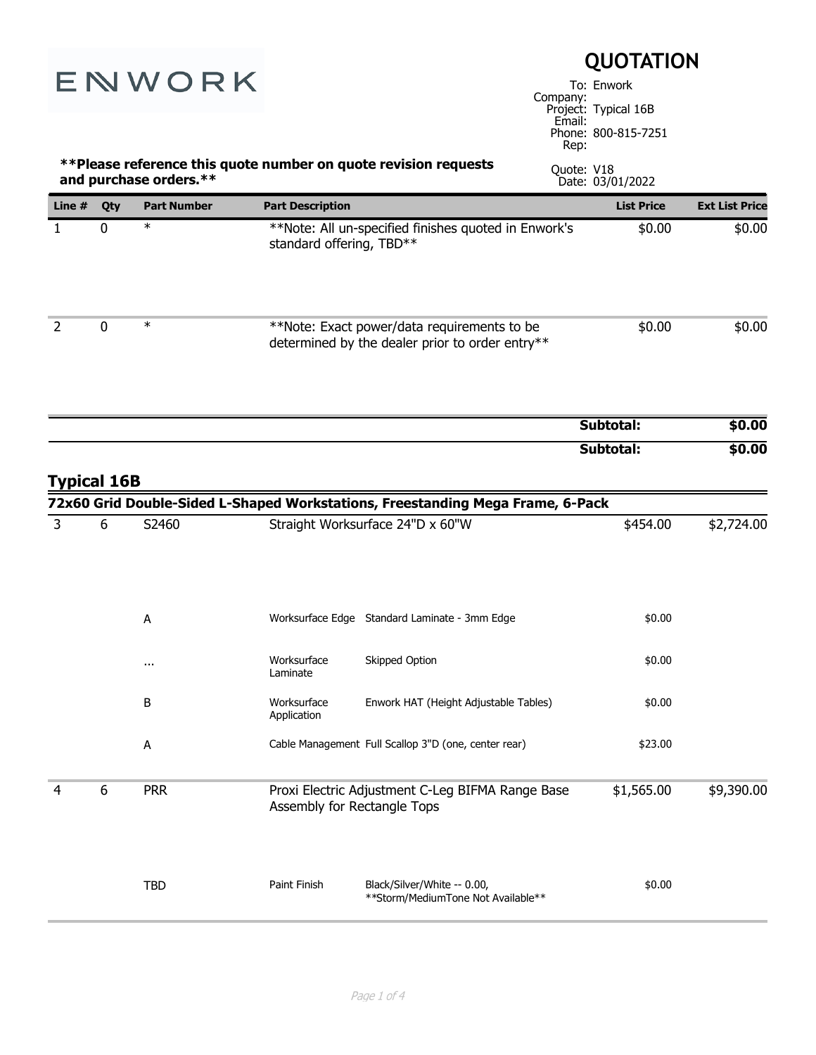| ENWORK             |             | <b>QUOTATION</b><br>To: Enwork<br>Company:<br>Project: Typical 16B<br>Email:<br>Phone: 800-815-7251 |                                                                                 |                                                                                                                    |                    |                   |                       |
|--------------------|-------------|-----------------------------------------------------------------------------------------------------|---------------------------------------------------------------------------------|--------------------------------------------------------------------------------------------------------------------|--------------------|-------------------|-----------------------|
|                    |             | and purchase orders.**                                                                              |                                                                                 | **Please reference this quote number on quote revision requests                                                    | Rep:<br>Quote: V18 | Date: 03/01/2022  |                       |
| Line $#$           | Qty         | <b>Part Number</b>                                                                                  | <b>Part Description</b>                                                         |                                                                                                                    |                    | <b>List Price</b> | <b>Ext List Price</b> |
| $\mathbf{1}$       | $\mathbf 0$ | $\ast$                                                                                              | standard offering, TBD**                                                        | **Note: All un-specified finishes quoted in Enwork's                                                               |                    | \$0.00            | \$0.00                |
| $\overline{2}$     | $\mathbf 0$ | $\ast$                                                                                              |                                                                                 | **Note: Exact power/data requirements to be<br>determined by the dealer prior to order entry**                     |                    | \$0.00            | \$0.00                |
|                    |             |                                                                                                     |                                                                                 |                                                                                                                    |                    | Subtotal:         | \$0.00                |
| <b>Typical 16B</b> |             |                                                                                                     |                                                                                 |                                                                                                                    |                    | Subtotal:         | \$0.00                |
| 3                  | 6           | S2460                                                                                               |                                                                                 | 72x60 Grid Double-Sided L-Shaped Workstations, Freestanding Mega Frame, 6-Pack<br>Straight Worksurface 24"D x 60"W |                    | \$454.00          | \$2,724.00            |
|                    |             | А                                                                                                   |                                                                                 | Worksurface Edge Standard Laminate - 3mm Edge                                                                      |                    | \$0.00            |                       |
|                    |             | $\cdots$                                                                                            | Worksurface<br>Laminate                                                         | Skipped Option                                                                                                     |                    | \$0.00            |                       |
|                    |             | В                                                                                                   | Worksurface<br>Application                                                      | Enwork HAT (Height Adjustable Tables)                                                                              |                    | \$0.00            |                       |
|                    |             | Α                                                                                                   |                                                                                 | Cable Management Full Scallop 3"D (one, center rear)                                                               |                    | \$23.00           |                       |
| 4                  | 6           | <b>PRR</b>                                                                                          | Proxi Electric Adjustment C-Leg BIFMA Range Base<br>Assembly for Rectangle Tops |                                                                                                                    |                    | \$1,565.00        | \$9,390.00            |
|                    |             | <b>TBD</b>                                                                                          | Paint Finish                                                                    | Black/Silver/White -- 0.00,<br>**Storm/MediumTone Not Available**                                                  |                    | \$0.00            |                       |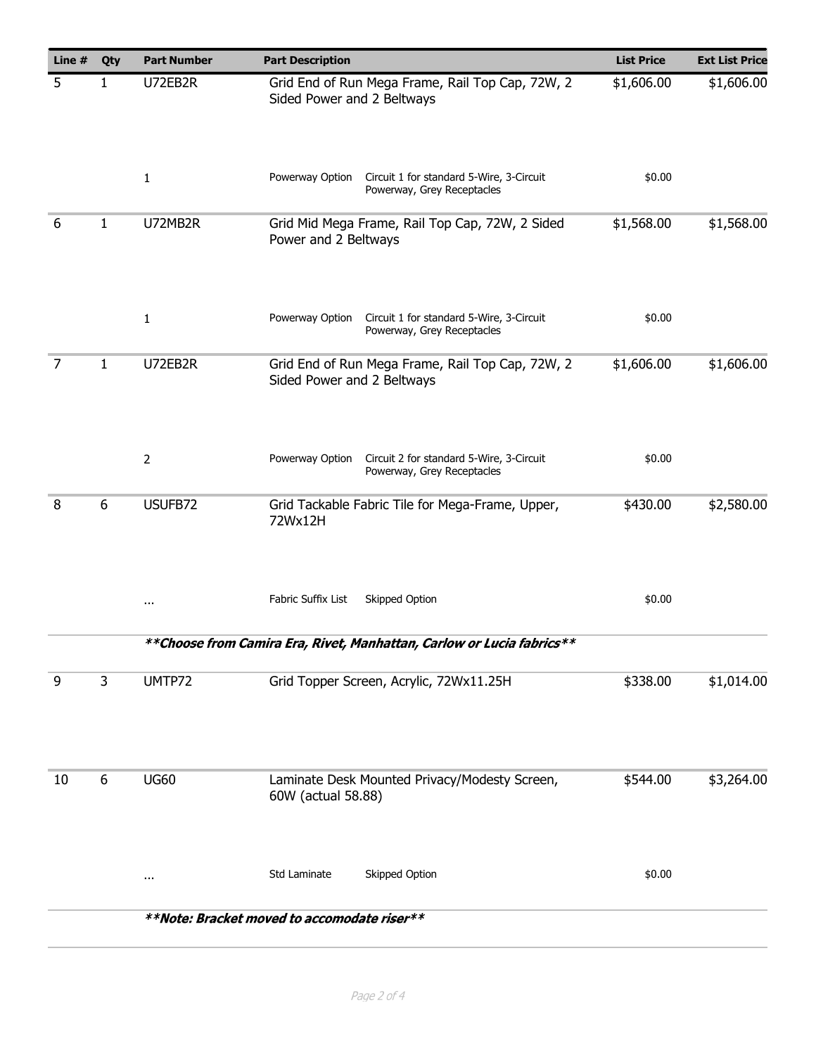| Line # | Qty | <b>Part Number</b> | <b>Part Description</b>                                                                   | <b>List Price</b> | <b>Ext List Price</b> |
|--------|-----|--------------------|-------------------------------------------------------------------------------------------|-------------------|-----------------------|
| 5      | 1   | U72EB2R            | Grid End of Run Mega Frame, Rail Top Cap, 72W, 2<br>Sided Power and 2 Beltways            | \$1,606.00        | \$1,606.00            |
|        |     | $\mathbf{1}$       | Circuit 1 for standard 5-Wire, 3-Circuit<br>Powerway Option<br>Powerway, Grey Receptacles | \$0.00            |                       |
| 6      | 1   | U72MB2R            | Grid Mid Mega Frame, Rail Top Cap, 72W, 2 Sided<br>Power and 2 Beltways                   | \$1,568.00        | \$1,568.00            |
|        |     | $\mathbf{1}$       | Powerway Option<br>Circuit 1 for standard 5-Wire, 3-Circuit<br>Powerway, Grey Receptacles | \$0.00            |                       |
| 7      | 1   | U72EB2R            | Grid End of Run Mega Frame, Rail Top Cap, 72W, 2<br>Sided Power and 2 Beltways            | \$1,606.00        | \$1,606.00            |
|        |     | $\overline{2}$     | Circuit 2 for standard 5-Wire, 3-Circuit<br>Powerway Option<br>Powerway, Grey Receptacles | \$0.00            |                       |
| 8      | 6   | USUFB72            | Grid Tackable Fabric Tile for Mega-Frame, Upper,<br>72Wx12H                               | \$430.00          | \$2,580.00            |
|        |     | $\cdots$           | Fabric Suffix List<br>Skipped Option                                                      | \$0.00            |                       |
|        |     |                    | **Choose from Camira Era, Rivet, Manhattan, Carlow or Lucia fabrics**                     |                   |                       |
| 9      | 3   | UMTP72             | Grid Topper Screen, Acrylic, 72Wx11.25H                                                   | \$338.00          | \$1,014.00            |
| 10     | 6   | <b>UG60</b>        | Laminate Desk Mounted Privacy/Modesty Screen,<br>60W (actual 58.88)                       | \$544.00          | \$3,264.00            |
|        |     | $\cdots$           | Std Laminate<br>Skipped Option                                                            | \$0.00            |                       |
|        |     |                    | **Note: Bracket moved to accomodate riser**                                               |                   |                       |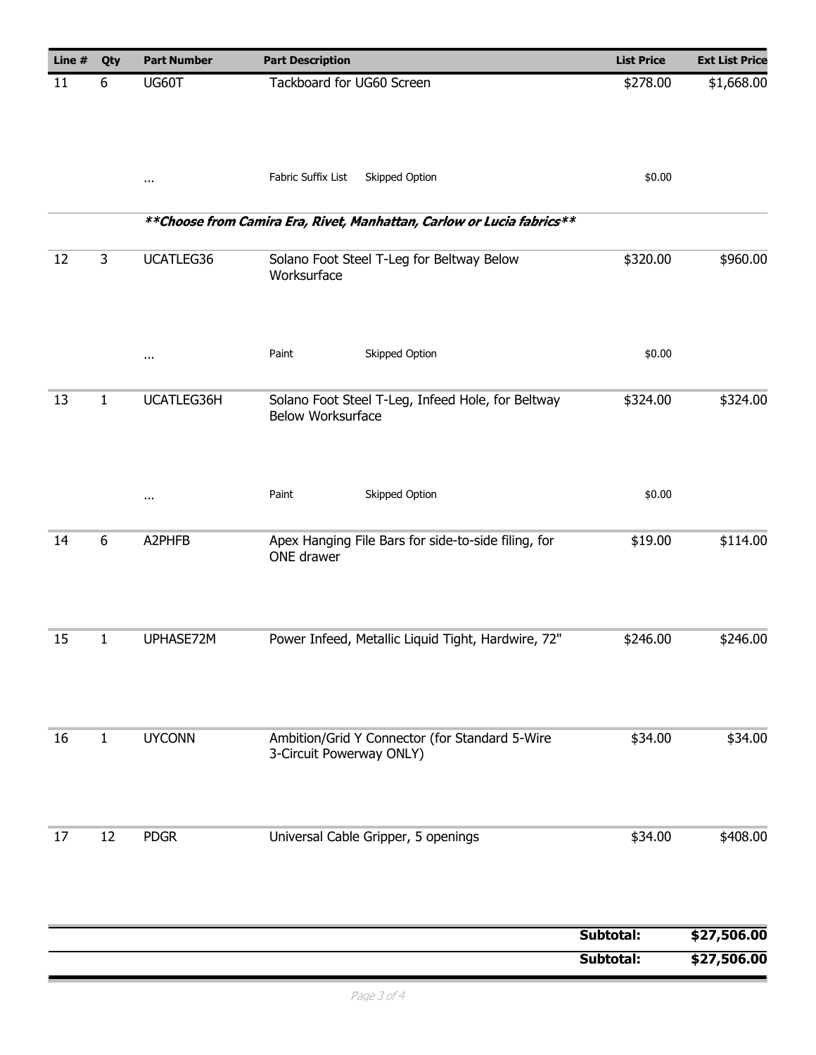| Line # | Qty          | <b>Part Number</b> | <b>Part Description</b>                                                       | <b>List Price</b> | <b>Ext List Price</b> |
|--------|--------------|--------------------|-------------------------------------------------------------------------------|-------------------|-----------------------|
| 11     | 6            | UG60T              | Tackboard for UG60 Screen                                                     | \$278.00          | \$1,668.00            |
|        |              | $\cdots$           | Fabric Suffix List<br>Skipped Option                                          | \$0.00            |                       |
|        |              |                    | ** Choose from Camira Era, Rivet, Manhattan, Carlow or Lucia fabrics**        |                   |                       |
| 12     | 3            | UCATLEG36          | Solano Foot Steel T-Leg for Beltway Below<br>Worksurface                      | \$320.00          | \$960.00              |
|        |              | $\cdots$           | Skipped Option<br>Paint                                                       | \$0.00            |                       |
| 13     | $\mathbf{1}$ | UCATLEG36H         | Solano Foot Steel T-Leg, Infeed Hole, for Beltway<br><b>Below Worksurface</b> | \$324.00          | \$324.00              |
|        |              | $\cdots$           | Skipped Option<br>Paint                                                       | \$0.00            |                       |
| 14     | 6            | A2PHFB             | Apex Hanging File Bars for side-to-side filing, for<br>ONE drawer             | \$19.00           | \$114.00              |
| 15     | 1            | UPHASE72M          | Power Infeed, Metallic Liquid Tight, Hardwire, 72"                            | \$246.00          | \$246.00              |
| 16     | 1            | <b>UYCONN</b>      | Ambition/Grid Y Connector (for Standard 5-Wire<br>3-Circuit Powerway ONLY)    | \$34.00           | \$34.00               |
| 17     | 12           | <b>PDGR</b>        | Universal Cable Gripper, 5 openings                                           | \$34.00           | \$408.00              |
|        |              |                    |                                                                               | Subtotal:         | \$27,506.00           |
|        |              |                    |                                                                               | Subtotal:         | \$27,506.00           |